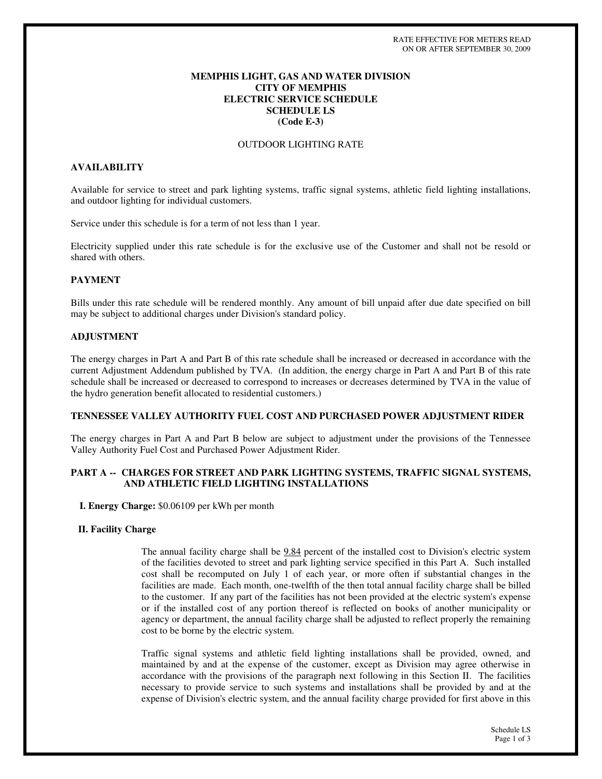# **MEMPHIS LIGHT, GAS AND WATER DIVISION CITY OF MEMPHIS ELECTRIC SERVICE SCHEDULE SCHEDULE LS (Code E-3)**

## OUTDOOR LIGHTING RATE

# **AVAILABILITY**

Available for service to street and park lighting systems, traffic signal systems, athletic field lighting installations, and outdoor lighting for individual customers.

Service under this schedule is for a term of not less than 1 year.

Electricity supplied under this rate schedule is for the exclusive use of the Customer and shall not be resold or shared with others.

## **PAYMENT**

Bills under this rate schedule will be rendered monthly. Any amount of bill unpaid after due date specified on bill may be subject to additional charges under Division's standard policy.

#### **ADJUSTMENT**

The energy charges in Part A and Part B of this rate schedule shall be increased or decreased in accordance with the current Adjustment Addendum published by TVA. (In addition, the energy charge in Part A and Part B of this rate schedule shall be increased or decreased to correspond to increases or decreases determined by TVA in the value of the hydro generation benefit allocated to residential customers.)

#### **TENNESSEE VALLEY AUTHORITY FUEL COST AND PURCHASED POWER ADJUSTMENT RIDER**

The energy charges in Part A and Part B below are subject to adjustment under the provisions of the Tennessee Valley Authority Fuel Cost and Purchased Power Adjustment Rider.

## **PART A -- CHARGES FOR STREET AND PARK LIGHTING SYSTEMS, TRAFFIC SIGNAL SYSTEMS, AND ATHLETIC FIELD LIGHTING INSTALLATIONS**

**I. Energy Charge:** \$0.06109 per kWh per month

#### **II. Facility Charge**

The annual facility charge shall be 9.84 percent of the installed cost to Division's electric system of the facilities devoted to street and park lighting service specified in this Part A. Such installed cost shall be recomputed on July 1 of each year, or more often if substantial changes in the facilities are made. Each month, one-twelfth of the then total annual facility charge shall be billed to the customer. If any part of the facilities has not been provided at the electric system's expense or if the installed cost of any portion thereof is reflected on books of another municipality or agency or department, the annual facility charge shall be adjusted to reflect properly the remaining cost to be borne by the electric system.

Traffic signal systems and athletic field lighting installations shall be provided, owned, and maintained by and at the expense of the customer, except as Division may agree otherwise in accordance with the provisions of the paragraph next following in this Section II. The facilities necessary to provide service to such systems and installations shall be provided by and at the expense of Division's electric system, and the annual facility charge provided for first above in this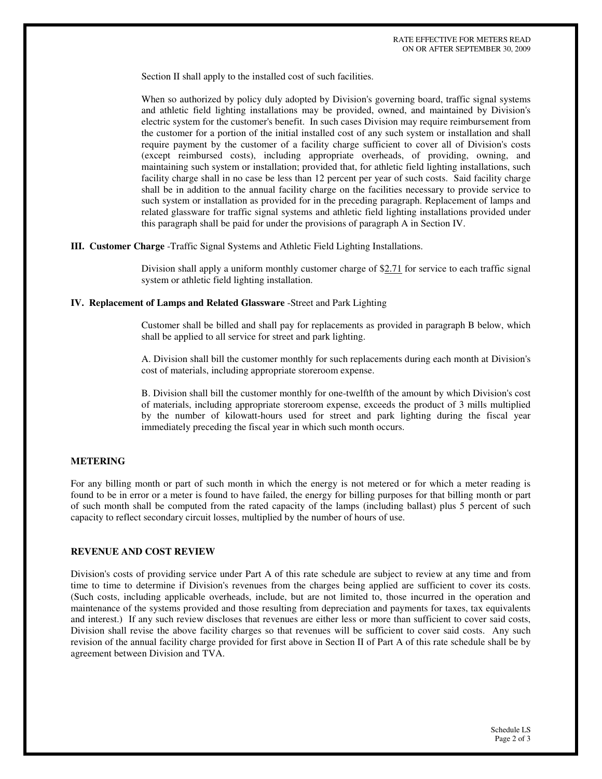Section II shall apply to the installed cost of such facilities.

When so authorized by policy duly adopted by Division's governing board, traffic signal systems and athletic field lighting installations may be provided, owned, and maintained by Division's electric system for the customer's benefit. In such cases Division may require reimbursement from the customer for a portion of the initial installed cost of any such system or installation and shall require payment by the customer of a facility charge sufficient to cover all of Division's costs (except reimbursed costs), including appropriate overheads, of providing, owning, and maintaining such system or installation; provided that, for athletic field lighting installations, such facility charge shall in no case be less than 12 percent per year of such costs. Said facility charge shall be in addition to the annual facility charge on the facilities necessary to provide service to such system or installation as provided for in the preceding paragraph. Replacement of lamps and related glassware for traffic signal systems and athletic field lighting installations provided under this paragraph shall be paid for under the provisions of paragraph A in Section IV.

**III. Customer Charge** -Traffic Signal Systems and Athletic Field Lighting Installations.

Division shall apply a uniform monthly customer charge of \$2.71 for service to each traffic signal system or athletic field lighting installation.

#### **IV. Replacement of Lamps and Related Glassware** -Street and Park Lighting

Customer shall be billed and shall pay for replacements as provided in paragraph B below, which shall be applied to all service for street and park lighting.

A. Division shall bill the customer monthly for such replacements during each month at Division's cost of materials, including appropriate storeroom expense.

B. Division shall bill the customer monthly for one-twelfth of the amount by which Division's cost of materials, including appropriate storeroom expense, exceeds the product of 3 mills multiplied by the number of kilowatt-hours used for street and park lighting during the fiscal year immediately preceding the fiscal year in which such month occurs.

#### **METERING**

For any billing month or part of such month in which the energy is not metered or for which a meter reading is found to be in error or a meter is found to have failed, the energy for billing purposes for that billing month or part of such month shall be computed from the rated capacity of the lamps (including ballast) plus 5 percent of such capacity to reflect secondary circuit losses, multiplied by the number of hours of use.

## **REVENUE AND COST REVIEW**

Division's costs of providing service under Part A of this rate schedule are subject to review at any time and from time to time to determine if Division's revenues from the charges being applied are sufficient to cover its costs. (Such costs, including applicable overheads, include, but are not limited to, those incurred in the operation and maintenance of the systems provided and those resulting from depreciation and payments for taxes, tax equivalents and interest.) If any such review discloses that revenues are either less or more than sufficient to cover said costs, Division shall revise the above facility charges so that revenues will be sufficient to cover said costs. Any such revision of the annual facility charge provided for first above in Section II of Part A of this rate schedule shall be by agreement between Division and TVA.